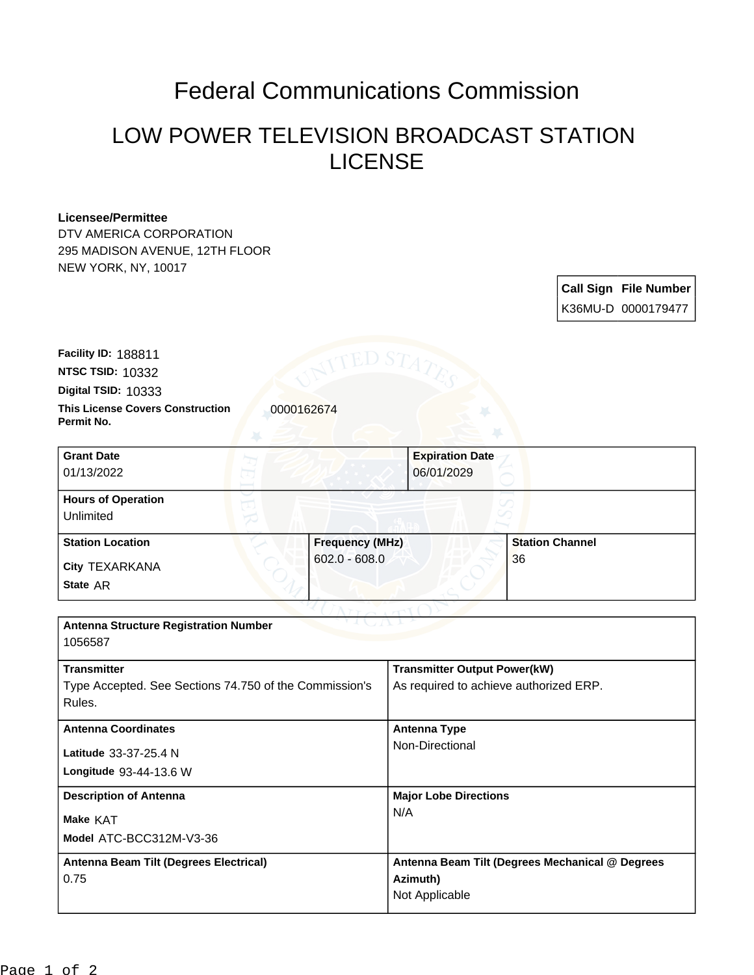## Federal Communications Commission

## LOW POWER TELEVISION BROADCAST STATION LICENSE

## **Licensee/Permittee**

DTV AMERICA CORPORATION 295 MADISON AVENUE, 12TH FLOOR NEW YORK, NY, 10017

> **Call Sign File Number** K36MU-D 0000179477

**Digital TSID:** 10333 **NTSC TSID:** 10332 **Facility ID:** 188811

**This License Covers Construction**  0000162674 **Permit No.**

**State** AR **City** TEXARKANA **Grant Date** 01/13/2022 **Expiration Date** 06/01/2029 **Hours of Operation** Unlimited **Station Location Frequency (MHz)** 602.0 - 608.0 **Station Channel** 36

| <b>Antenna Structure Registration Number</b><br>1056587                      |                                                                               |
|------------------------------------------------------------------------------|-------------------------------------------------------------------------------|
| <b>Transmitter</b><br>Type Accepted. See Sections 74.750 of the Commission's | <b>Transmitter Output Power(kW)</b><br>As required to achieve authorized ERP. |
| Rules.                                                                       |                                                                               |
| <b>Antenna Coordinates</b>                                                   | Antenna Type                                                                  |
| Latitude 33-37-25.4 N                                                        | Non-Directional                                                               |
| Longitude 93-44-13.6 W                                                       |                                                                               |
| <b>Description of Antenna</b>                                                | <b>Major Lobe Directions</b>                                                  |
| Make KAT                                                                     | N/A                                                                           |
| Model ATC-BCC312M-V3-36                                                      |                                                                               |
| Antenna Beam Tilt (Degrees Electrical)                                       | Antenna Beam Tilt (Degrees Mechanical @ Degrees                               |
| 0.75                                                                         | Azimuth)                                                                      |
|                                                                              | Not Applicable                                                                |